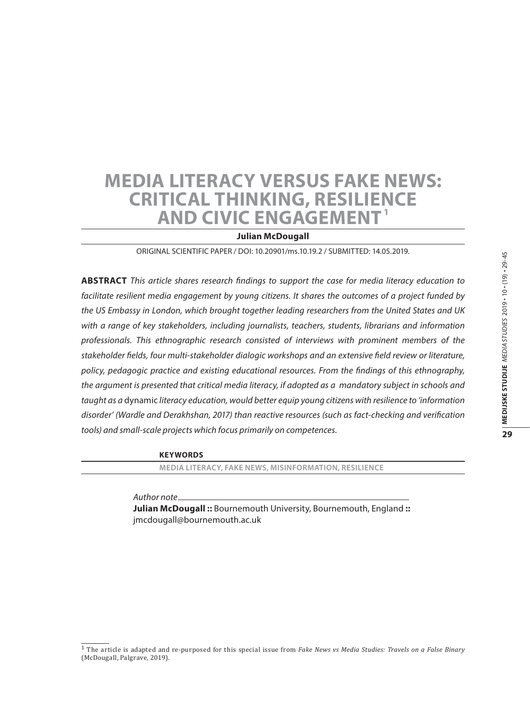# **Media Literacy versus Fake News: Critical Thinking, Resilience and Civic Engagement <sup>1</sup>**

#### **Julian McDougall**

ORIGINAL SCIENTIFIC PAPER / DOI: 10.20901/ms.10.19.2 / SUBMITTED: 14.05.2019.

**Abstract** *This article shares research findings to support the case for media literacy education to facilitate resilient media engagement by young citizens. It shares the outcomes of a project funded by the US Embassy in London, which brought together leading researchers from the United States and UK with a range of key stakeholders, including journalists, teachers, students, librarians and information professionals. This ethnographic research consisted of interviews with prominent members of the stakeholder fields, four multi-stakeholder dialogic workshops and an extensive field review or literature, policy, pedagogic practice and existing educational resources. From the findings of this ethnography, the argument is presented that critical media literacy, if adopted as a mandatory subject in schools and taught as a* dynamic *literacy education, would better equip young citizens with resilience to 'information disorder' (Wardle and Derakhshan, 2017) than reactive resources (such as fact-checking and verification tools) and small-scale projects which focus primarily on competences.*

#### **Keywords**

**Media literacy, fake news, misinformation, resilience**

*Author note*

**Julian McDougall ::** Bournemouth University, Bournemouth, England **::** jmcdougall@bournemouth.ac.uk

<sup>1</sup> The article is adapted and re-purposed for this special issue from *Fake News vs Media Studies: Travels on a False Binary* (McDougall, Palgrave, 2019).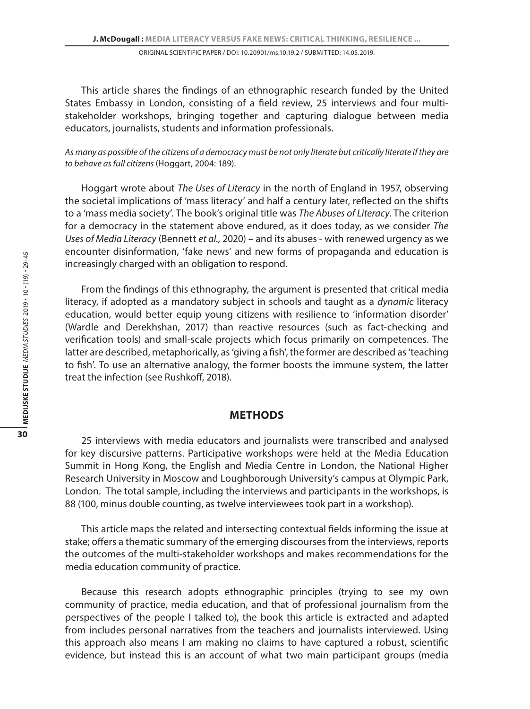This article shares the findings of an ethnographic research funded by the United States Embassy in London, consisting of a field review, 25 interviews and four multistakeholder workshops, bringing together and capturing dialogue between media educators, journalists, students and information professionals.

*As many as possible of the citizens of a democracy must be not only literate but critically literate if they are to behave as full citizens* (Hoggart, 2004: 189).

Hoggart wrote about *The Uses of Literacy* in the north of England in 1957, observing the societal implications of 'mass literacy' and half a century later, reflected on the shifts to a 'mass media society'. The book's original title was *The Abuses of Literacy*. The criterion for a democracy in the statement above endured, as it does today, as we consider *The Uses of Media Literacy* (Bennett *et al.,* 2020) – and its abuses - with renewed urgency as we encounter disinformation, 'fake news' and new forms of propaganda and education is increasingly charged with an obligation to respond.

From the findings of this ethnography, the argument is presented that critical media literacy, if adopted as a mandatory subject in schools and taught as a *dynamic* literacy education, would better equip young citizens with resilience to 'information disorder' (Wardle and Derekhshan, 2017) than reactive resources (such as fact-checking and verification tools) and small-scale projects which focus primarily on competences. The latter are described, metaphorically, as 'giving a fish', the former are described as 'teaching to fish'. To use an alternative analogy, the former boosts the immune system, the latter treat the infection (see Rushkoff, 2018).

### **Methods**

25 interviews with media educators and journalists were transcribed and analysed for key discursive patterns. Participative workshops were held at the Media Education Summit in Hong Kong, the English and Media Centre in London, the National Higher Research University in Moscow and Loughborough University's campus at Olympic Park, London. The total sample, including the interviews and participants in the workshops, is 88 (100, minus double counting, as twelve interviewees took part in a workshop).

This article maps the related and intersecting contextual fields informing the issue at stake; offers a thematic summary of the emerging discourses from the interviews, reports the outcomes of the multi-stakeholder workshops and makes recommendations for the media education community of practice.

Because this research adopts ethnographic principles (trying to see my own community of practice, media education, and that of professional journalism from the perspectives of the people I talked to), the book this article is extracted and adapted from includes personal narratives from the teachers and journalists interviewed. Using this approach also means I am making no claims to have captured a robust, scientific evidence, but instead this is an account of what two main participant groups (media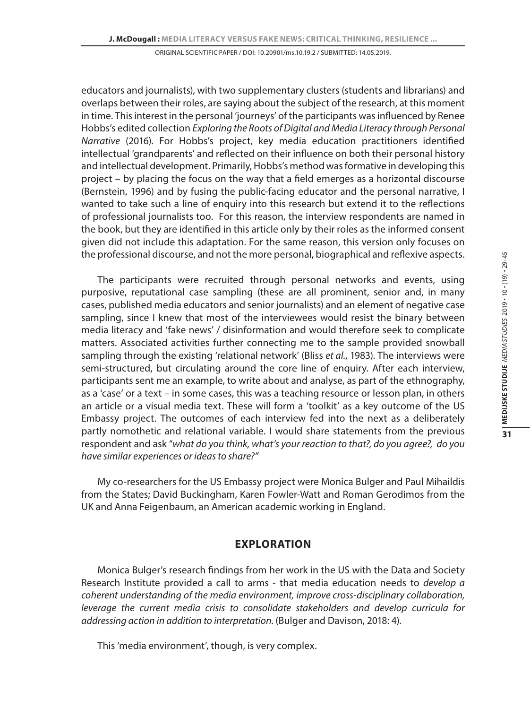educators and journalists), with two supplementary clusters (students and librarians) and overlaps between their roles, are saying about the subject of the research, at this moment in time. This interest in the personal 'journeys' of the participants was influenced by Renee Hobbs's edited collection *Exploring the Roots of Digital and Media Literacy through Personal Narrative* (2016). For Hobbs's project, key media education practitioners identified intellectual 'grandparents' and reflected on their influence on both their personal history and intellectual development. Primarily, Hobbs's method was formative in developing this project – by placing the focus on the way that a field emerges as a horizontal discourse (Bernstein, 1996) and by fusing the public-facing educator and the personal narrative, I wanted to take such a line of enquiry into this research but extend it to the reflections of professional journalists too. For this reason, the interview respondents are named in the book, but they are identified in this article only by their roles as the informed consent given did not include this adaptation. For the same reason, this version only focuses on the professional discourse, and not the more personal, biographical and reflexive aspects.

The participants were recruited through personal networks and events, using purposive, reputational case sampling (these are all prominent, senior and, in many cases, published media educators and senior journalists) and an element of negative case sampling, since I knew that most of the interviewees would resist the binary between media literacy and 'fake news' / disinformation and would therefore seek to complicate matters. Associated activities further connecting me to the sample provided snowball sampling through the existing 'relational network' (Bliss *et al.*, 1983). The interviews were semi-structured, but circulating around the core line of enquiry. After each interview, participants sent me an example, to write about and analyse, as part of the ethnography, as a 'case' or a text – in some cases, this was a teaching resource or lesson plan, in others an article or a visual media text. These will form a 'toolkit' as a key outcome of the US Embassy project. The outcomes of each interview fed into the next as a deliberately partly nomothetic and relational variable. I would share statements from the previous respondent and ask "*what do you think, what's your reaction to that?, do you agree?, do you have similar experiences or ideas to share?"*

My co-researchers for the US Embassy project were Monica Bulger and Paul Mihaildis from the States; David Buckingham, Karen Fowler-Watt and Roman Gerodimos from the UK and Anna Feigenbaum, an American academic working in England.

# **Exploration**

Monica Bulger's research findings from her work in the US with the Data and Society Research Institute provided a call to arms - that media education needs to *develop a coherent understanding of the media environment, improve cross-disciplinary collaboration, leverage the current media crisis to consolidate stakeholders and develop curricula for addressing action in addition to interpretation.* (Bulger and Davison, 2018: 4)*.* 

This 'media environment', though, is very complex.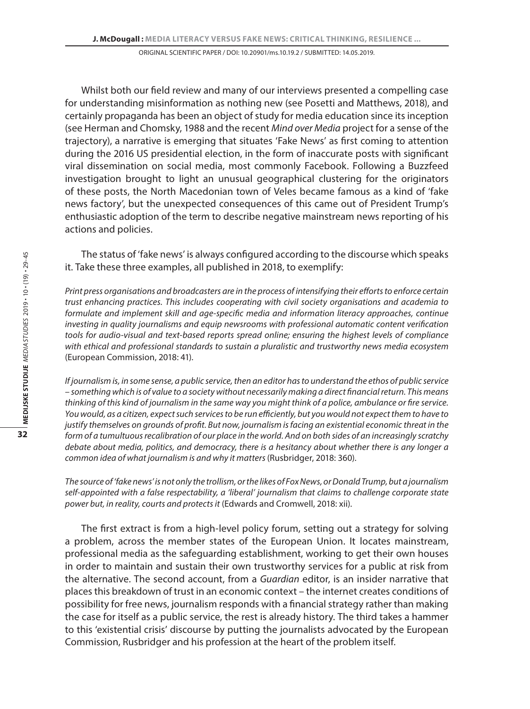Whilst both our field review and many of our interviews presented a compelling case for understanding misinformation as nothing new (see Posetti and Matthews, 2018), and certainly propaganda has been an object of study for media education since its inception (see Herman and Chomsky, 1988 and the recent *Mind over Media* project for a sense of the trajectory), a narrative is emerging that situates 'Fake News' as first coming to attention during the 2016 US presidential election, in the form of inaccurate posts with significant viral dissemination on social media, most commonly Facebook. Following a Buzzfeed investigation brought to light an unusual geographical clustering for the originators of these posts, the North Macedonian town of Veles became famous as a kind of 'fake news factory', but the unexpected consequences of this came out of President Trump's enthusiastic adoption of the term to describe negative mainstream news reporting of his actions and policies.

The status of 'fake news' is always configured according to the discourse which speaks it. Take these three examples, all published in 2018, to exemplify:

*Print press organisations and broadcasters are in the process of intensifying their efforts to enforce certain trust enhancing practices. This includes cooperating with civil society organisations and academia to*  formulate and implement skill and age-specific media and information literacy approaches, continue *investing in quality journalisms and equip newsrooms with professional automatic content verification tools for audio-visual and text-based reports spread online; ensuring the highest levels of compliance with ethical and professional standards to sustain a pluralistic and trustworthy news media ecosystem*  (European Commission, 2018: 41).

*If journalism is, in some sense, a public service, then an editor has to understand the ethos of public service – something which is of value to a society without necessarily making a direct financial return. This means thinking of this kind of journalism in the same way you might think of a police, ambulance or fire service. You would, as a citizen, expect such services to be run efficiently, but you would not expect them to have to justify themselves on grounds of profit. But now, journalism is facing an existential economic threat in the form of a tumultuous recalibration of our place in the world. And on both sides of an increasingly scratchy debate about media, politics, and democracy, there is a hesitancy about whether there is any longer a common idea of what journalism is and why it matters* (Rusbridger, 2018: 360).

*The source of 'fake news' is not only the trollism, or the likes of Fox News, or Donald Trump, but a journalism self-appointed with a false respectability, a 'liberal' journalism that claims to challenge corporate state power but, in reality, courts and protects it* (Edwards and Cromwell, 2018: xii).

The first extract is from a high-level policy forum, setting out a strategy for solving a problem, across the member states of the European Union. It locates mainstream, professional media as the safeguarding establishment, working to get their own houses in order to maintain and sustain their own trustworthy services for a public at risk from the alternative. The second account, from a *Guardian* editor, is an insider narrative that places this breakdown of trust in an economic context – the internet creates conditions of possibility for free news, journalism responds with a financial strategy rather than making the case for itself as a public service, the rest is already history. The third takes a hammer to this 'existential crisis' discourse by putting the journalists advocated by the European Commission, Rusbridger and his profession at the heart of the problem itself.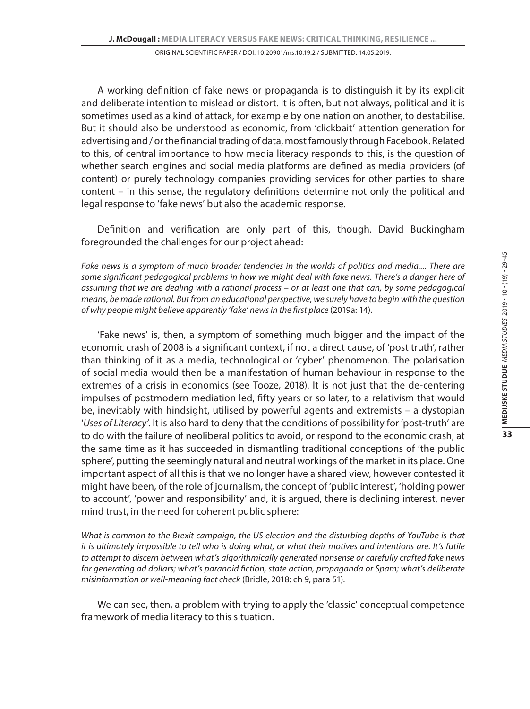A working definition of fake news or propaganda is to distinguish it by its explicit and deliberate intention to mislead or distort. It is often, but not always, political and it is sometimes used as a kind of attack, for example by one nation on another, to destabilise. But it should also be understood as economic, from 'clickbait' attention generation for advertising and / or the financial trading of data, most famously through Facebook. Related to this, of central importance to how media literacy responds to this, is the question of whether search engines and social media platforms are defined as media providers (of content) or purely technology companies providing services for other parties to share content – in this sense, the regulatory definitions determine not only the political and legal response to 'fake news' but also the academic response.

Definition and verification are only part of this, though. David Buckingham foregrounded the challenges for our project ahead:

Fake news is a symptom of much broader tendencies in the worlds of politics and media.... There are *some significant pedagogical problems in how we might deal with fake news. There's a danger here of assuming that we are dealing with a rational process – or at least one that can, by some pedagogical means, be made rational. But from an educational perspective, we surely have to begin with the question of why people might believe apparently 'fake' news in the first place* (2019a: 14).

'Fake news' is, then, a symptom of something much bigger and the impact of the economic crash of 2008 is a significant context, if not a direct cause, of 'post truth', rather than thinking of it as a media, technological or 'cyber' phenomenon. The polarisation of social media would then be a manifestation of human behaviour in response to the extremes of a crisis in economics (see Tooze, 2018). It is not just that the de-centering impulses of postmodern mediation led, fifty years or so later, to a relativism that would be, inevitably with hindsight, utilised by powerful agents and extremists – a dystopian '*Uses of Literacy'*. It is also hard to deny that the conditions of possibility for 'post-truth' are to do with the failure of neoliberal politics to avoid, or respond to the economic crash, at the same time as it has succeeded in dismantling traditional conceptions of 'the public sphere', putting the seemingly natural and neutral workings of the market in its place. One important aspect of all this is that we no longer have a shared view, however contested it might have been, of the role of journalism, the concept of 'public interest', 'holding power to account', 'power and responsibility' and, it is argued, there is declining interest, never mind trust, in the need for coherent public sphere:

*What is common to the Brexit campaign, the US election and the disturbing depths of YouTube is that it is ultimately impossible to tell who is doing what, or what their motives and intentions are. It's futile to attempt to discern between what's algorithmically generated nonsense or carefully crafted fake news for generating ad dollars; what's paranoid fiction, state action, propaganda or Spam; what's deliberate misinformation or well-meaning fact check* (Bridle, 2018: ch 9, para 51).

We can see, then, a problem with trying to apply the 'classic' conceptual competence framework of media literacy to this situation.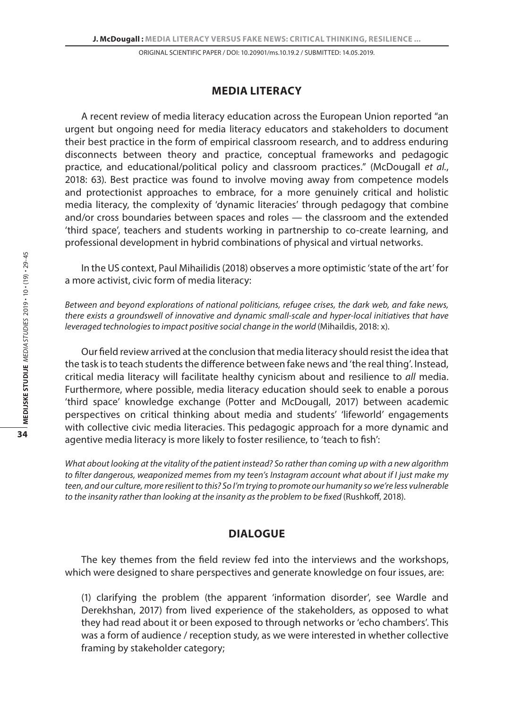## **Media Literacy**

A recent review of media literacy education across the European Union reported "an urgent but ongoing need for media literacy educators and stakeholders to document their best practice in the form of empirical classroom research, and to address enduring disconnects between theory and practice, conceptual frameworks and pedagogic practice, and educational/political policy and classroom practices." (McDougall *et al.*, 2018: 63). Best practice was found to involve moving away from competence models and protectionist approaches to embrace, for a more genuinely critical and holistic media literacy, the complexity of 'dynamic literacies' through pedagogy that combine and/or cross boundaries between spaces and roles — the classroom and the extended 'third space', teachers and students working in partnership to co-create learning, and professional development in hybrid combinations of physical and virtual networks.

In the US context, Paul Mihailidis (2018) observes a more optimistic 'state of the art' for a more activist, civic form of media literacy:

*Between and beyond explorations of national politicians, refugee crises, the dark web, and fake news, there exists a groundswell of innovative and dynamic small-scale and hyper-local initiatives that have leveraged technologies to impact positive social change in the world* (Mihaildis, 2018: x).

Our field review arrived at the conclusion that media literacy should resist the idea that the task is to teach students the difference between fake news and 'the real thing'. Instead, critical media literacy will facilitate healthy cynicism about and resilience to *all* media. Furthermore, where possible, media literacy education should seek to enable a porous 'third space' knowledge exchange (Potter and McDougall, 2017) between academic perspectives on critical thinking about media and students' 'lifeworld' engagements with collective civic media literacies. This pedagogic approach for a more dynamic and agentive media literacy is more likely to foster resilience, to 'teach to fish':

*What about looking at the vitality of the patient instead? So rather than coming up with a new algorithm to filter dangerous, weaponized memes from my teen's Instagram account what about if I just make my teen, and our culture, more resilient to this? So I'm trying to promote our humanity so we're less vulnerable*  to the insanity rather than looking at the insanity as the problem to be fixed (Rushkoff, 2018).

## **Dialogue**

The key themes from the field review fed into the interviews and the workshops, which were designed to share perspectives and generate knowledge on four issues, are:

(1) clarifying the problem (the apparent 'information disorder', see Wardle and Derekhshan, 2017) from lived experience of the stakeholders, as opposed to what they had read about it or been exposed to through networks or 'echo chambers'. This was a form of audience / reception study, as we were interested in whether collective framing by stakeholder category;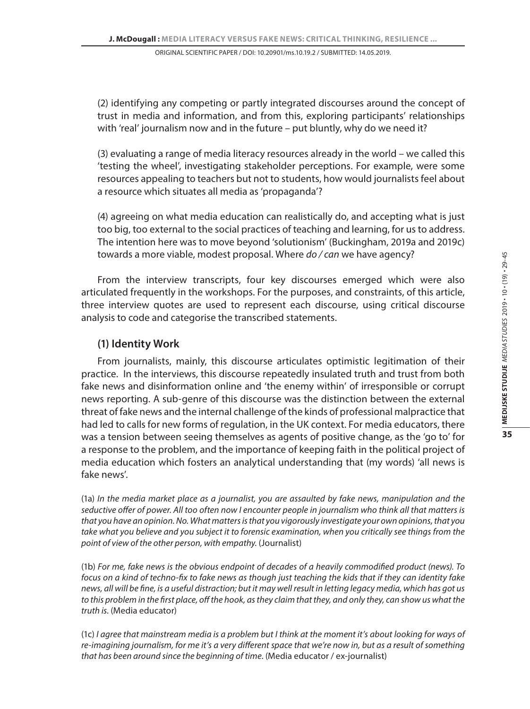(2) identifying any competing or partly integrated discourses around the concept of trust in media and information, and from this, exploring participants' relationships with 'real' journalism now and in the future – put bluntly, why do we need it?

(3) evaluating a range of media literacy resources already in the world – we called this 'testing the wheel', investigating stakeholder perceptions. For example, were some resources appealing to teachers but not to students, how would journalists feel about a resource which situates all media as 'propaganda'?

(4) agreeing on what media education can realistically do, and accepting what is just too big, too external to the social practices of teaching and learning, for us to address. The intention here was to move beyond 'solutionism' (Buckingham, 2019a and 2019c) towards a more viable, modest proposal. Where *do / can* we have agency?

From the interview transcripts, four key discourses emerged which were also articulated frequently in the workshops. For the purposes, and constraints, of this article, three interview quotes are used to represent each discourse, using critical discourse analysis to code and categorise the transcribed statements.

# **(1) Identity Work**

From journalists, mainly, this discourse articulates optimistic legitimation of their practice. In the interviews, this discourse repeatedly insulated truth and trust from both fake news and disinformation online and 'the enemy within' of irresponsible or corrupt news reporting. A sub-genre of this discourse was the distinction between the external threat of fake news and the internal challenge of the kinds of professional malpractice that had led to calls for new forms of regulation, in the UK context. For media educators, there was a tension between seeing themselves as agents of positive change, as the 'go to' for a response to the problem, and the importance of keeping faith in the political project of media education which fosters an analytical understanding that (my words) 'all news is fake news'.

(1a) *In the media market place as a journalist, you are assaulted by fake news, manipulation and the seductive offer of power. All too often now I encounter people in journalism who think all that matters is that you have an opinion. No. What matters is that you vigorously investigate your own opinions, that you take what you believe and you subject it to forensic examination, when you critically see things from the point of view of the other person, with empathy.* (Journalist)

(1b) *For me, fake news is the obvious endpoint of decades of a heavily commodified product (news). To focus on a kind of techno-fix to fake news as though just teaching the kids that if they can identity fake news, all will be fine, is a useful distraction; but it may well result in letting legacy media, which has got us to this problem in the first place, off the hook, as they claim that they, and only they, can show us what the truth is.* (Media educator)

(1c) *I agree that mainstream media is a problem but I think at the moment it's about looking for ways of*  re-imagining journalism, for me it's a very different space that we're now in, but as a result of something *that has been around since the beginning of time*. (Media educator / ex-journalist)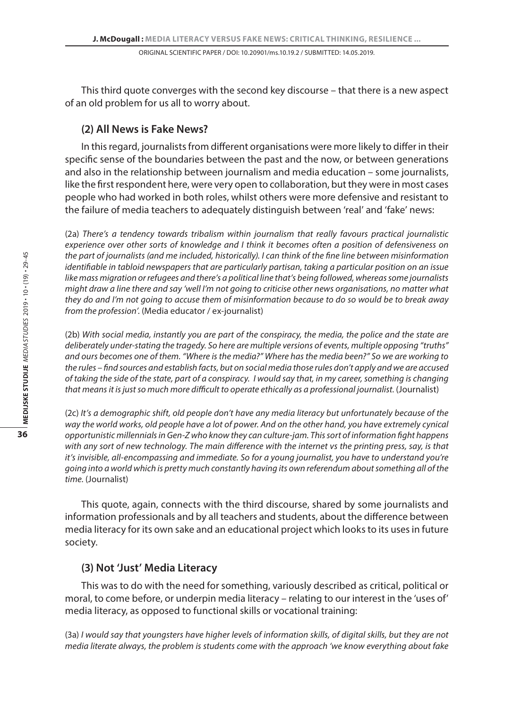This third quote converges with the second key discourse – that there is a new aspect of an old problem for us all to worry about.

# **(2) All News is Fake News?**

In this regard, journalists from different organisations were more likely to differ in their specific sense of the boundaries between the past and the now, or between generations and also in the relationship between journalism and media education – some journalists, like the first respondent here, were very open to collaboration, but they were in most cases people who had worked in both roles, whilst others were more defensive and resistant to the failure of media teachers to adequately distinguish between 'real' and 'fake' news:

(2a) *There's a tendency towards tribalism within journalism that really favours practical journalistic experience over other sorts of knowledge and I think it becomes often a position of defensiveness on the part of journalists (and me included, historically). I can think of the fine line between misinformation identifiable in tabloid newspapers that are particularly partisan, taking a particular position on an issue like mass migration or refugees and there's a political line that's being followed, whereas some journalists might draw a line there and say 'well I'm not going to criticise other news organisations, no matter what they do and I'm not going to accuse them of misinformation because to do so would be to break away from the profession'.* (Media educator / ex-journalist)

(2b) *With social media, instantly you are part of the conspiracy, the media, the police and the state are deliberately under-stating the tragedy. So here are multiple versions of events, multiple opposing "truths" and ours becomes one of them. "Where is the media?" Where has the media been?" So we are working to the rules – find sources and establish facts, but on social media those rules don't apply and we are accused of taking the side of the state, part of a conspiracy. I would say that, in my career, something is changing*  that means it is just so much more difficult to operate ethically as a professional journalist. (Journalist)

(2c) *It's a demographic shift, old people don't have any media literacy but unfortunately because of the*  way the world works, old people have a lot of power. And on the other hand, you have extremely cynical *opportunistic millennials in Gen-Z who know they can culture-jam. This sort of information fight happens with any sort of new technology. The main difference with the internet vs the printing press, say, is that it's invisible, all-encompassing and immediate. So for a young journalist, you have to understand you're going into a world which is pretty much constantly having its own referendum about something all of the time.* (Journalist)

This quote, again, connects with the third discourse, shared by some journalists and information professionals and by all teachers and students, about the difference between media literacy for its own sake and an educational project which looks to its uses in future society.

# **(3) Not 'Just' Media Literacy**

This was to do with the need for something, variously described as critical, political or moral, to come before, or underpin media literacy – relating to our interest in the 'uses of' media literacy, as opposed to functional skills or vocational training:

(3a) *I would say that youngsters have higher levels of information skills, of digital skills, but they are not media literate always, the problem is students come with the approach 'we know everything about fake*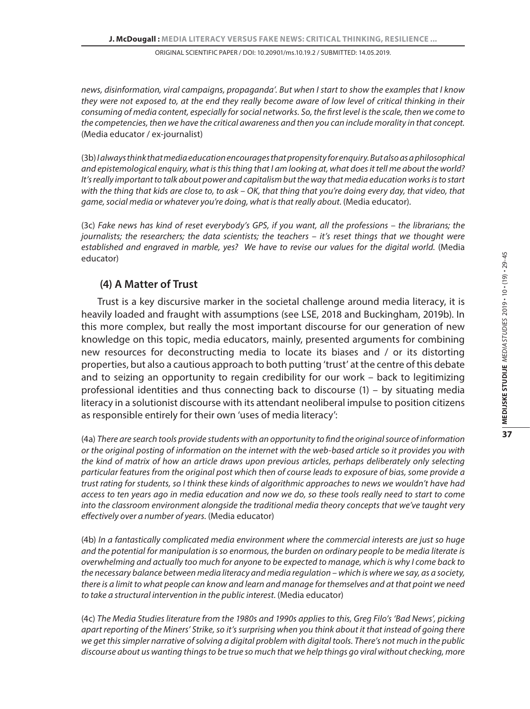*news, disinformation, viral campaigns, propaganda'. But when I start to show the examples that I know they were not exposed to, at the end they really become aware of low level of critical thinking in their consuming of media content, especially for social networks. So, the first level is the scale, then we come to the competencies, then we have the critical awareness and then you can include morality in that concept.*  (Media educator / ex-journalist)

(3b) *I always think that media education encourages that propensity for enquiry. But also as a philosophical and epistemological enquiry, what is this thing that I am looking at, what does it tell me about the world? It's really important to talk about power and capitalism but the way that media education works is to start with the thing that kids are close to, to ask – OK, that thing that you're doing every day, that video, that*  game, social media or whatever you're doing, what is that really about. (Media educator).

(3c) Fake news has kind of reset everybody's GPS, if you want, all the professions – the librarians; the *journalists; the researchers; the data scientists; the teachers – it's reset things that we thought were established and engraved in marble, yes? We have to revise our values for the digital world.* (Media educator)

## **(4) A Matter of Trust**

Trust is a key discursive marker in the societal challenge around media literacy, it is heavily loaded and fraught with assumptions (see LSE, 2018 and Buckingham, 2019b). In this more complex, but really the most important discourse for our generation of new knowledge on this topic, media educators, mainly, presented arguments for combining new resources for deconstructing media to locate its biases and / or its distorting properties, but also a cautious approach to both putting 'trust' at the centre of this debate and to seizing an opportunity to regain credibility for our work – back to legitimizing professional identities and thus connecting back to discourse (1) – by situating media literacy in a solutionist discourse with its attendant neoliberal impulse to position citizens as responsible entirely for their own 'uses of media literacy':

(4a) *There are search tools provide students with an opportunity to find the original source of information or the original posting of information on the internet with the web-based article so it provides you with the kind of matrix of how an article draws upon previous articles, perhaps deliberately only selecting particular features from the original post which then of course leads to exposure of bias, some provide a trust rating for students, so I think these kinds of algorithmic approaches to news we wouldn't have had access to ten years ago in media education and now we do, so these tools really need to start to come into the classroom environment alongside the traditional media theory concepts that we've taught very effectively over a number of years.* (Media educator)

(4b) *In a fantastically complicated media environment where the commercial interests are just so huge and the potential for manipulation is so enormous, the burden on ordinary people to be media literate is overwhelming and actually too much for anyone to be expected to manage, which is why I come back to the necessary balance between media literacy and media regulation* – *which is where we say, as a society, there is a limit to what people can know and learn and manage for themselves and at that point we need to take a structural intervention in the public interest.* (Media educator)

(4c) *The Media Studies literature from the 1980s and 1990s applies to this, Greg Filo's 'Bad News', picking apart reporting of the Miners' Strike, so it's surprising when you think about it that instead of going there we get this simpler narrative of solving a digital problem with digital tools. There's not much in the public discourse about us wanting things to be true so much that we help things go viral without checking, more*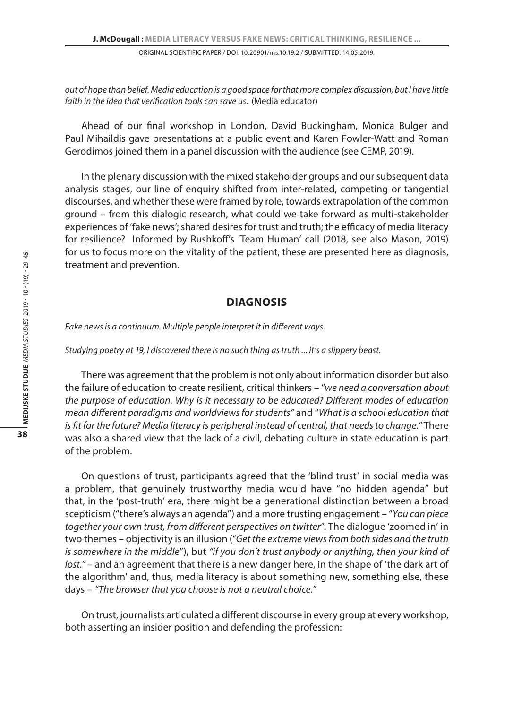*out of hope than belief. Media education is a good space for that more complex discussion, but I have little*  faith in the idea that verification tools can save us. (Media educator)

Ahead of our final workshop in London, David Buckingham, Monica Bulger and Paul Mihaildis gave presentations at a public event and Karen Fowler-Watt and Roman Gerodimos joined them in a panel discussion with the audience (see CEMP, 2019).

In the plenary discussion with the mixed stakeholder groups and our subsequent data analysis stages, our line of enquiry shifted from inter-related, competing or tangential discourses, and whether these were framed by role, towards extrapolation of the common ground – from this dialogic research, what could we take forward as multi-stakeholder experiences of 'fake news'; shared desires for trust and truth; the efficacy of media literacy for resilience? Informed by Rushkoff's 'Team Human' call (2018, see also Mason, 2019) for us to focus more on the vitality of the patient, these are presented here as diagnosis, treatment and prevention.

### **Diagnosis**

*Fake news is a continuum. Multiple people interpret it in different ways.*

*Studying poetry at 19, I discovered there is no such thing as truth ... it's a slippery beast.*

There was agreement that the problem is not only about information disorder but also the failure of education to create resilient, critical thinkers – "*we need a conversation about the purpose of education. Why is it necessary to be educated? Different modes of education mean different paradigms and worldviews for students"* and "*What is a school education that is fit for the future? Media literacy is peripheral instead of central, that needs to change."* There was also a shared view that the lack of a civil, debating culture in state education is part of the problem.

On questions of trust, participants agreed that the 'blind trust' in social media was a problem, that genuinely trustworthy media would have "no hidden agenda" but that, in the 'post-truth' era, there might be a generational distinction between a broad scepticism ("there's always an agenda") and a more trusting engagement – "*You can piece together your own trust, from different perspectives on twitter*". The dialogue 'zoomed in' in two themes – objectivity is an illusion ("*Get the extreme views from both sides and the truth is somewhere in the middle*"), but *"if you don't trust anybody or anything, then your kind of lost."* – and an agreement that there is a new danger here, in the shape of 'the dark art of the algorithm' and, thus, media literacy is about something new, something else, these days – *"The browser that you choose is not a neutral choice."*

On trust, journalists articulated a different discourse in every group at every workshop, both asserting an insider position and defending the profession: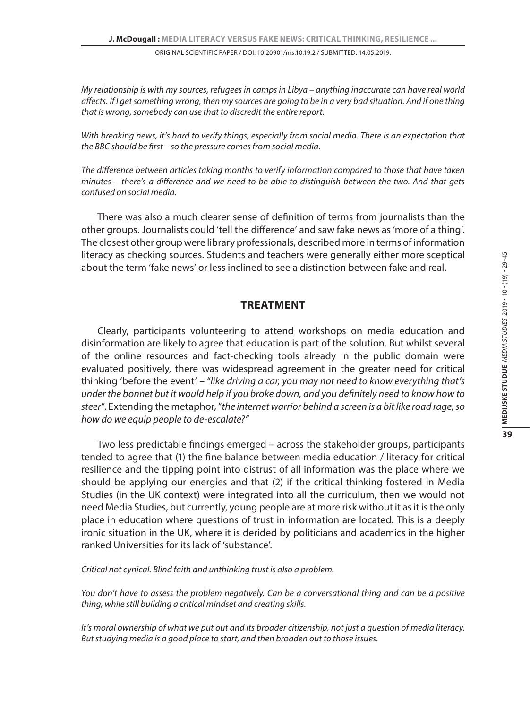*My relationship is with my sources, refugees in camps in Libya – anything inaccurate can have real world affects. If I get something wrong, then my sources are going to be in a very bad situation. And if one thing that is wrong, somebody can use that to discredit the entire report.*

*With breaking news, it's hard to verify things, especially from social media. There is an expectation that the BBC should be first – so the pressure comes from social media.*

*The difference between articles taking months to verify information compared to those that have taken minutes – there's a difference and we need to be able to distinguish between the two. And that gets confused on social media.* 

There was also a much clearer sense of definition of terms from journalists than the other groups. Journalists could 'tell the difference' and saw fake news as 'more of a thing'. The closest other group were library professionals, described more in terms of information literacy as checking sources. Students and teachers were generally either more sceptical about the term 'fake news' or less inclined to see a distinction between fake and real.

# **Treatment**

Clearly, participants volunteering to attend workshops on media education and disinformation are likely to agree that education is part of the solution. But whilst several of the online resources and fact-checking tools already in the public domain were evaluated positively, there was widespread agreement in the greater need for critical thinking 'before the event' – "*like driving a car, you may not need to know everything that's under the bonnet but it would help if you broke down, and you definitely need to know how to steer*". Extending the metaphor, "*the internet warrior behind a screen is a bit like road rage, so how do we equip people to de-escalate?"*

Two less predictable findings emerged – across the stakeholder groups, participants tended to agree that (1) the fine balance between media education / literacy for critical resilience and the tipping point into distrust of all information was the place where we should be applying our energies and that (2) if the critical thinking fostered in Media Studies (in the UK context) were integrated into all the curriculum, then we would not need Media Studies, but currently, young people are at more risk without it as it is the only place in education where questions of trust in information are located. This is a deeply ironic situation in the UK, where it is derided by politicians and academics in the higher ranked Universities for its lack of 'substance'.

*Critical not cynical. Blind faith and unthinking trust is also a problem.*

*You don't have to assess the problem negatively. Can be a conversational thing and can be a positive thing, while still building a critical mindset and creating skills.*

*It's moral ownership of what we put out and its broader citizenship, not just a question of media literacy. But studying media is a good place to start, and then broaden out to those issues.*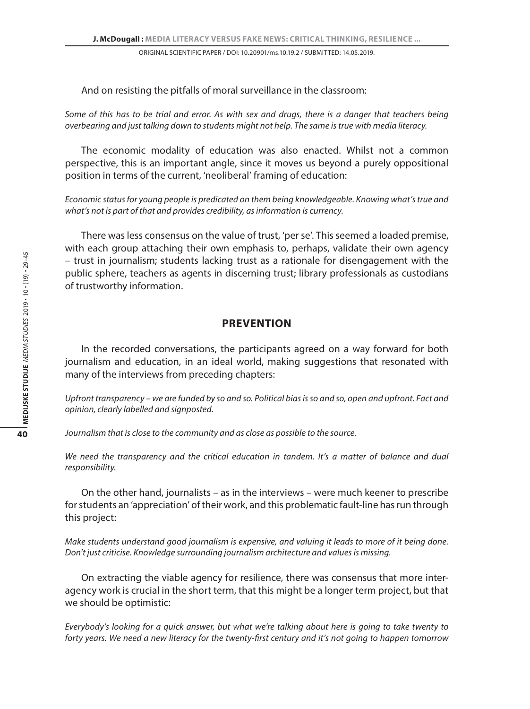And on resisting the pitfalls of moral surveillance in the classroom:

*Some of this has to be trial and error. As with sex and drugs, there is a danger that teachers being overbearing and just talking down to students might not help. The same is true with media literacy.*

The economic modality of education was also enacted. Whilst not a common perspective, this is an important angle, since it moves us beyond a purely oppositional position in terms of the current, 'neoliberal' framing of education:

*Economic status for young people is predicated on them being knowledgeable. Knowing what's true and what's not is part of that and provides credibility, as information is currency.*

There was less consensus on the value of trust, 'per se'. This seemed a loaded premise, with each group attaching their own emphasis to, perhaps, validate their own agency – trust in journalism; students lacking trust as a rationale for disengagement with the public sphere, teachers as agents in discerning trust; library professionals as custodians of trustworthy information.

## **Prevention**

In the recorded conversations, the participants agreed on a way forward for both journalism and education, in an ideal world, making suggestions that resonated with many of the interviews from preceding chapters:

*Upfront transparency – we are funded by so and so. Political bias is so and so, open and upfront. Fact and opinion, clearly labelled and signposted.*

*Journalism that is close to the community and as close as possible to the source.*

*We need the transparency and the critical education in tandem. It's a matter of balance and dual responsibility.*

On the other hand, journalists – as in the interviews – were much keener to prescribe for students an 'appreciation' of their work, and this problematic fault-line has run through this project:

*Make students understand good journalism is expensive, and valuing it leads to more of it being done. Don't just criticise. Knowledge surrounding journalism architecture and values is missing.*

On extracting the viable agency for resilience, there was consensus that more interagency work is crucial in the short term, that this might be a longer term project, but that we should be optimistic:

*Everybody's looking for a quick answer, but what we're talking about here is going to take twenty to forty years. We need a new literacy for the twenty-first century and it's not going to happen tomorrow*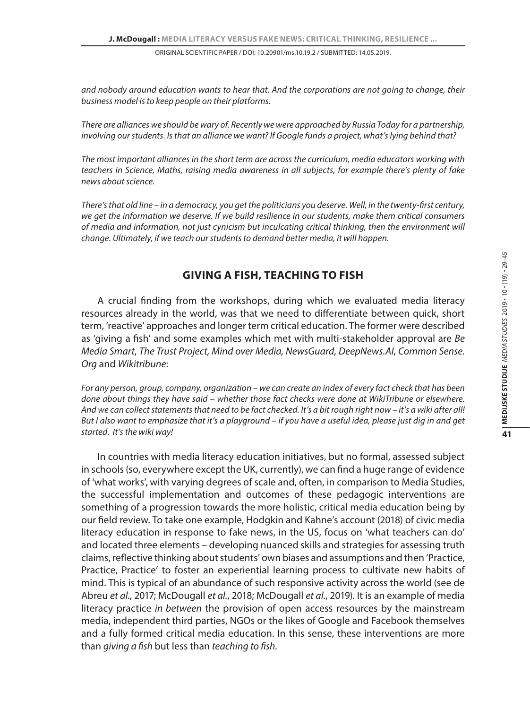*and nobody around education wants to hear that. And the corporations are not going to change, their business model is to keep people on their platforms.*

*There are alliances we should be wary of. Recently we were approached by Russia Today for a partnership, involving our students. Is that an alliance we want? If Google funds a project, what's lying behind that?*

*The most important alliances in the short term are across the curriculum, media educators working with teachers in Science, Maths, raising media awareness in all subjects, for example there's plenty of fake news about science.*

*There's that old line – in a democracy, you get the politicians you deserve. Well, in the twenty-first century, we get the information we deserve. If we build resilience in our students, make them critical consumers of media and information, not just cynicism but inculcating critical thinking, then the environment will change. Ultimately, if we teach our students to demand better media, it will happen.*

## **Giving a fish, teaching to fish**

A crucial finding from the workshops, during which we evaluated media literacy resources already in the world, was that we need to differentiate between quick, short term, 'reactive' approaches and longer term critical education. The former were described as 'giving a fish' and some examples which met with multi-stakeholder approval are *Be Media Smart*, *The Trust Project, Mind over Media, NewsGuard*, *DeepNews.AI*, *Common Sense. Org* and *Wikitribune*:

*For any person, group, company, organization – we can create an index of every fact check that has been done about things they have said – whether those fact checks were done at WikiTribune or elsewhere. And we can collect statements that need to be fact checked. It's a bit rough right now – it's a wiki after all! But I also want to emphasize that it's a playground – if you have a useful idea, please just dig in and get started. It's the wiki way!*

In countries with media literacy education initiatives, but no formal, assessed subject in schools (so, everywhere except the UK, currently), we can find a huge range of evidence of 'what works', with varying degrees of scale and, often, in comparison to Media Studies, the successful implementation and outcomes of these pedagogic interventions are something of a progression towards the more holistic, critical media education being by our field review. To take one example, Hodgkin and Kahne's account (2018) of civic media literacy education in response to fake news, in the US, focus on 'what teachers can do' and located three elements – developing nuanced skills and strategies for assessing truth claims, reflective thinking about students' own biases and assumptions and then 'Practice, Practice, Practice' to foster an experiential learning process to cultivate new habits of mind. This is typical of an abundance of such responsive activity across the world (see de Abreu *et al.*, 2017; McDougall *et al.*, 2018; McDougall *et al.*, 2019). It is an example of media literacy practice *in between* the provision of open access resources by the mainstream media, independent third parties, NGOs or the likes of Google and Facebook themselves and a fully formed critical media education. In this sense, these interventions are more than *giving a fish* but less than *teaching to fish*.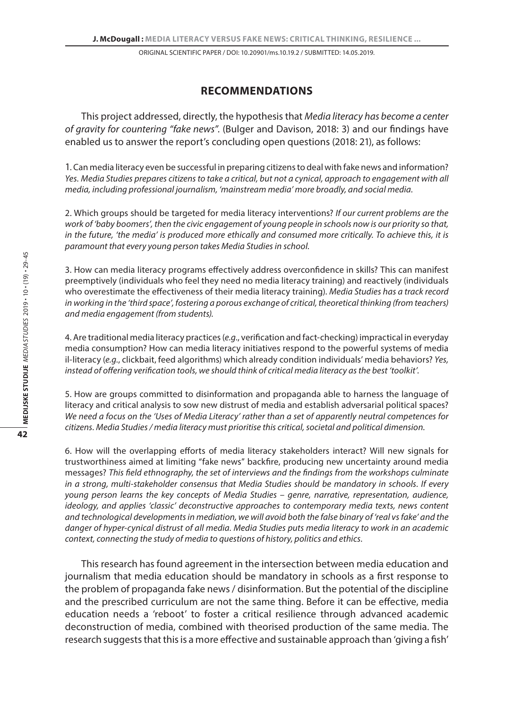## **Recommendations**

This project addressed, directly, the hypothesis that *Media literacy has become a center of gravity for countering "fake news".* (Bulger and Davison, 2018: 3) and our findings have enabled us to answer the report's concluding open questions (2018: 21), as follows:

1. Can media literacy even be successful in preparing citizens to deal with fake news and information? *Yes. Media Studies prepares citizens to take a critical, but not a cynical, approach to engagement with all media, including professional journalism, 'mainstream media' more broadly, and social media.*

2. Which groups should be targeted for media literacy interventions? *If our current problems are the work of 'baby boomers', then the civic engagement of young people in schools now is our priority so that,*  in the future, 'the media' is produced more ethically and consumed more critically. To achieve this, it is *paramount that every young person takes Media Studies in school.*

3. How can media literacy programs effectively address overconfidence in skills? This can manifest preemptively (individuals who feel they need no media literacy training) and reactively (individuals who overestimate the effectiveness of their media literacy training). *Media Studies has a track record in working in the 'third space', fostering a porous exchange of critical, theoretical thinking (from teachers) and media engagement (from students).*

4. Are traditional media literacy practices (*e.g.*, verification and fact-checking) impractical in everyday media consumption? How can media literacy initiatives respond to the powerful systems of media il-literacy (*e.g.*, clickbait, feed algorithms) which already condition individuals' media behaviors? *Yes, instead of offering verification tools, we should think of critical media literacy as the best 'toolkit'.*

5. How are groups committed to disinformation and propaganda able to harness the language of literacy and critical analysis to sow new distrust of media and establish adversarial political spaces? *We need a focus on the 'Uses of Media Literacy' rather than a set of apparently neutral competences for citizens. Media Studies / media literacy must prioritise this critical, societal and political dimension.*

6. How will the overlapping efforts of media literacy stakeholders interact? Will new signals for trustworthiness aimed at limiting "fake news" backfire, producing new uncertainty around media messages? *This field ethnography, the set of interviews and the findings from the workshops culminate in a strong, multi-stakeholder consensus that Media Studies should be mandatory in schools. If every young person learns the key concepts of Media Studies – genre, narrative, representation, audience, ideology, and applies 'classic' deconstructive approaches to contemporary media texts, news content and technological developments in mediation, we will avoid both the false binary of 'real vs fake' and the danger of hyper-cynical distrust of all media. Media Studies puts media literacy to work in an academic context, connecting the study of media to questions of history, politics and ethics.*

This research has found agreement in the intersection between media education and journalism that media education should be mandatory in schools as a first response to the problem of propaganda fake news / disinformation. But the potential of the discipline and the prescribed curriculum are not the same thing. Before it can be effective, media education needs a 'reboot' to foster a critical resilience through advanced academic deconstruction of media, combined with theorised production of the same media. The research suggests that this is a more effective and sustainable approach than 'giving a fish'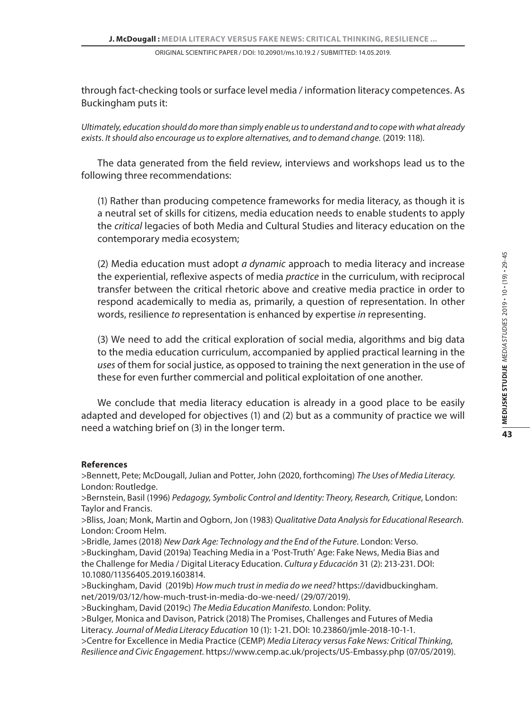through fact-checking tools or surface level media / information literacy competences. As Buckingham puts it:

*Ultimately, education should do more than simply enable us to understand and to cope with what already exists. It should also encourage us to explore alternatives, and to demand change.* (2019: 118).

The data generated from the field review, interviews and workshops lead us to the following three recommendations:

(1) Rather than producing competence frameworks for media literacy, as though it is a neutral set of skills for citizens, media education needs to enable students to apply the *critical* legacies of both Media and Cultural Studies and literacy education on the contemporary media ecosystem;

(2) Media education must adopt *a dynamic* approach to media literacy and increase the experiential, reflexive aspects of media *practice* in the curriculum, with reciprocal transfer between the critical rhetoric above and creative media practice in order to respond academically to media as, primarily, a question of representation. In other words, resilience *to* representation is enhanced by expertise *in* representing.

(3) We need to add the critical exploration of social media, algorithms and big data to the media education curriculum, accompanied by applied practical learning in the *uses* of them for social justice, as opposed to training the next generation in the use of these for even further commercial and political exploitation of one another.

We conclude that media literacy education is already in a good place to be easily adapted and developed for objectives (1) and (2) but as a community of practice we will need a watching brief on (3) in the longer term.

#### **References**

>Bennett, Pete; McDougall, Julian and Potter, John (2020, forthcoming) *The Uses of Media Literacy.* London: Routledge.

>Bernstein, Basil (1996) *Pedagogy, Symbolic Control and Identity: Theory, Research, Critique*, London: Taylor and Francis.

>Bliss, Joan; Monk, Martin and Ogborn, Jon (1983) *Qualitative Data Analysis for Educational Research*. London: Croom Helm.

>Bridle, James (2018) *New Dark Age: Technology and the End of the Future*. London: Verso. >Buckingham, David (2019a) Teaching Media in a 'Post-Truth' Age: Fake News, Media Bias and the Challenge for Media / Digital Literacy Education. *Cultura y Educación* 31 (2): 213-231. DOI: 10.1080/11356405.2019.1603814.

>Buckingham, David (2019b) *How much trust in media do we need?* https://davidbuckingham. net/2019/03/12/how-much-trust-in-media-do-we-need/ (29/07/2019).

>Buckingham, David (2019c) *The Media Education Manifesto*. London: Polity.

>Bulger, Monica and Davison, Patrick (2018) The Promises, Challenges and Futures of Media Literacy*. Journal of Media Literacy Education* 10 (1): 1-21. DOI: 10.23860/jmle-2018-10-1-1.

>Centre for Excellence in Media Practice (CEMP) *Media Literacy versus Fake News: Critical Thinking, Resilience and Civic Engagement*. https://www.cemp.ac.uk/projects/US-Embassy.php (07/05/2019).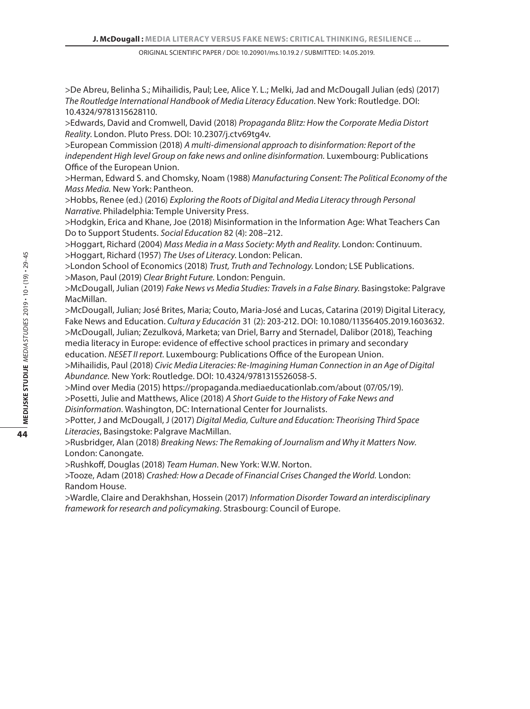>De Abreu, Belinha S.; Mihailidis, Paul; Lee, Alice Y. L.; Melki, Jad and McDougall Julian (eds) (2017) *The Routledge International Handbook of Media Literacy Education*. New York: Routledge. DOI: 10.4324/9781315628110.

>Edwards, David and Cromwell, David (2018) *Propaganda Blitz: How the Corporate Media Distort Reality*. London. Pluto Press. DOI: 10.2307/j.ctv69tg4v.

>European Commission (2018) *A multi-dimensional approach to disinformation: Report of the independent High level Group on fake news and online disinformation.* Luxembourg: Publications Office of the European Union.

>Herman, Edward S. and Chomsky, Noam (1988) *Manufacturing Consent: The Political Economy of the Mass Media.* New York: Pantheon.

>Hobbs, Renee (ed.) (2016) *Exploring the Roots of Digital and Media Literacy through Personal Narrative*. Philadelphia: Temple University Press.

>Hodgkin, Erica and Khane, Joe (2018) Misinformation in the Information Age: What Teachers Can Do to Support Students. *Social Education* 82 (4): 208–212.

>Hoggart, Richard (2004) *Mass Media in a Mass Society: Myth and Reality*. London: Continuum. >Hoggart, Richard (1957) *The Uses of Literacy*. London: Pelican.

>London School of Economics (2018) *Trust, Truth and Technology*. London; LSE Publications. >Mason, Paul (2019) *Clear Bright Future.* London: Penguin.

>McDougall, Julian (2019) *Fake News vs Media Studies: Travels in a False Binary*. Basingstoke: Palgrave MacMillan.

>McDougall, Julian; José Brites, Maria; Couto, Maria-José and Lucas, Catarina (2019) Digital Literacy, Fake News and Education. *Cultura y Educación* 31 (2): 203-212. DOI: 10.1080/11356405.2019.1603632. >McDougall, Julian; Zezulková, Marketa; van Driel, Barry and Sternadel, Dalibor (2018), Teaching media literacy in Europe: evidence of effective school practices in primary and secondary education. *NESET II report*. Luxembourg: Publications Office of the European Union.

>Mihailidis, Paul (2018) *Civic Media Literacies: Re-Imagining Human Connection in an Age of Digital Abundance.* New York: Routledge. DOI: 10.4324/9781315526058-5.

>Mind over Media (2015) https://propaganda.mediaeducationlab.com/about (07/05/19).

>Posetti, Julie and Matthews, Alice (2018) *A Short Guide to the History of Fake News and* 

*Disinformation*. Washington, DC: International Center for Journalists.

>Potter, J and McDougall, J (2017) *Digital Media, Culture and Education: Theorising Third Space Literacies*, Basingstoke: Palgrave MacMillan.

>Rusbridger, Alan (2018) *Breaking News: The Remaking of Journalism and Why it Matters Now*. London: Canongate*.*

>Rushkoff, Douglas (2018) *Team Human*. New York: W.W. Norton.

>Tooze, Adam (2018) *Crashed: How a Decade of Financial Crises Changed the World.* London: Random House.

>Wardle, Claire and Derakhshan, Hossein (2017) *Information Disorder Toward an interdisciplinary framework for research and policymaking*. Strasbourg: Council of Europe.